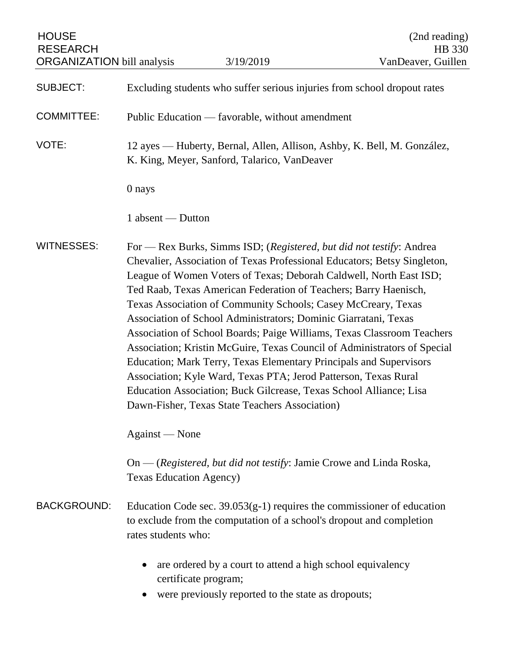| <b>HOUSE</b><br><b>RESEARCH</b><br><b>ORGANIZATION</b> bill analysis                                                                                                                                                                                                                                                                                                                                                                                                                                                                                                                                                                                                                                                                                                                                                                                                       |                                                                                                                         | 3/19/2019                                                                                                                                        | (2nd reading)<br><b>HB</b> 330<br>VanDeaver, Guillen |  |
|----------------------------------------------------------------------------------------------------------------------------------------------------------------------------------------------------------------------------------------------------------------------------------------------------------------------------------------------------------------------------------------------------------------------------------------------------------------------------------------------------------------------------------------------------------------------------------------------------------------------------------------------------------------------------------------------------------------------------------------------------------------------------------------------------------------------------------------------------------------------------|-------------------------------------------------------------------------------------------------------------------------|--------------------------------------------------------------------------------------------------------------------------------------------------|------------------------------------------------------|--|
| <b>SUBJECT:</b>                                                                                                                                                                                                                                                                                                                                                                                                                                                                                                                                                                                                                                                                                                                                                                                                                                                            | Excluding students who suffer serious injuries from school dropout rates                                                |                                                                                                                                                  |                                                      |  |
| <b>COMMITTEE:</b>                                                                                                                                                                                                                                                                                                                                                                                                                                                                                                                                                                                                                                                                                                                                                                                                                                                          | Public Education — favorable, without amendment                                                                         |                                                                                                                                                  |                                                      |  |
| VOTE:                                                                                                                                                                                                                                                                                                                                                                                                                                                                                                                                                                                                                                                                                                                                                                                                                                                                      | 12 ayes — Huberty, Bernal, Allen, Allison, Ashby, K. Bell, M. González,<br>K. King, Meyer, Sanford, Talarico, VanDeaver |                                                                                                                                                  |                                                      |  |
|                                                                                                                                                                                                                                                                                                                                                                                                                                                                                                                                                                                                                                                                                                                                                                                                                                                                            | 0 nays                                                                                                                  |                                                                                                                                                  |                                                      |  |
|                                                                                                                                                                                                                                                                                                                                                                                                                                                                                                                                                                                                                                                                                                                                                                                                                                                                            | 1 absent — Dutton                                                                                                       |                                                                                                                                                  |                                                      |  |
| <b>WITNESSES:</b><br>For — Rex Burks, Simms ISD; (Registered, but did not testify: Andrea<br>Chevalier, Association of Texas Professional Educators; Betsy Singleton,<br>League of Women Voters of Texas; Deborah Caldwell, North East ISD;<br>Ted Raab, Texas American Federation of Teachers; Barry Haenisch,<br>Texas Association of Community Schools; Casey McCreary, Texas<br>Association of School Administrators; Dominic Giarratani, Texas<br>Association of School Boards; Paige Williams, Texas Classroom Teachers<br>Association; Kristin McGuire, Texas Council of Administrators of Special<br>Education; Mark Terry, Texas Elementary Principals and Supervisors<br>Association; Kyle Ward, Texas PTA; Jerod Patterson, Texas Rural<br>Education Association; Buck Gilcrease, Texas School Alliance; Lisa<br>Dawn-Fisher, Texas State Teachers Association) |                                                                                                                         |                                                                                                                                                  |                                                      |  |
|                                                                                                                                                                                                                                                                                                                                                                                                                                                                                                                                                                                                                                                                                                                                                                                                                                                                            | Against — None                                                                                                          |                                                                                                                                                  |                                                      |  |
|                                                                                                                                                                                                                                                                                                                                                                                                                                                                                                                                                                                                                                                                                                                                                                                                                                                                            | <b>Texas Education Agency)</b>                                                                                          | On — (Registered, but did not testify: Jamie Crowe and Linda Roska,                                                                              |                                                      |  |
| <b>BACKGROUND:</b>                                                                                                                                                                                                                                                                                                                                                                                                                                                                                                                                                                                                                                                                                                                                                                                                                                                         | rates students who:                                                                                                     | Education Code sec. $39.053(g-1)$ requires the commissioner of education<br>to exclude from the computation of a school's dropout and completion |                                                      |  |
|                                                                                                                                                                                                                                                                                                                                                                                                                                                                                                                                                                                                                                                                                                                                                                                                                                                                            |                                                                                                                         | are ordered by a court to attend a high school equivalency<br>certificate program;<br>were previously reported to the state as dropouts;         |                                                      |  |